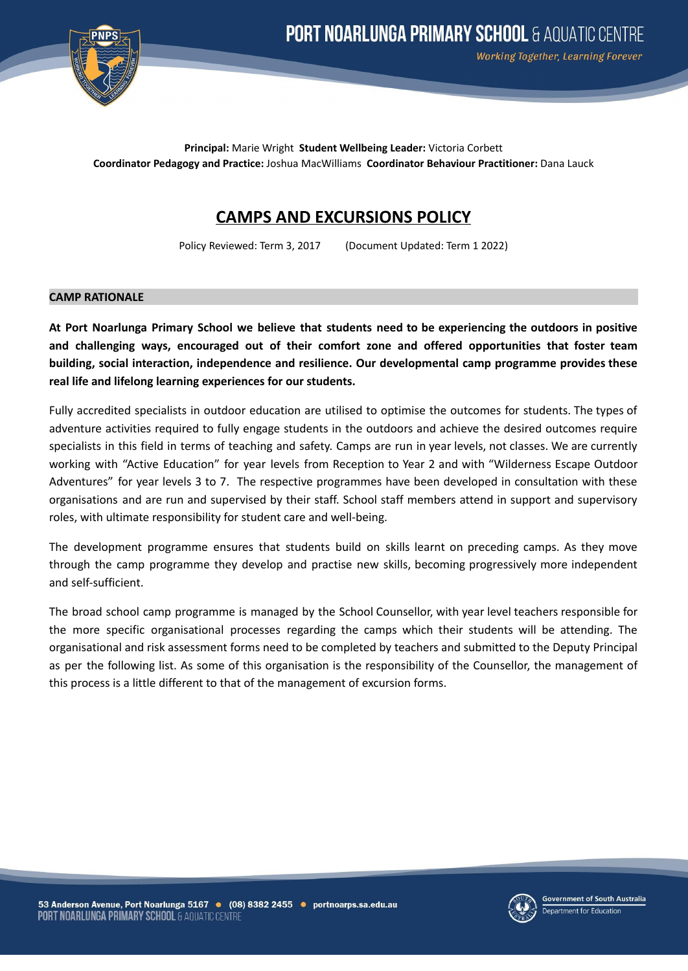

**Principal:** Marie Wright **Student Wellbeing Leader:** Victoria Corbett **Coordinator Pedagogy and Practice:** Joshua MacWilliams **Coordinator Behaviour Practitioner:** Dana Lauck

# **CAMPS AND EXCURSIONS POLICY**

Policy Reviewed: Term 3, 2017 (Document Updated: Term 1 2022)

### **CAMP RATIONALE**

At Port Noarlunga Primary School we believe that students need to be experiencing the outdoors in positive **and challenging ways, encouraged out of their comfort zone and offered opportunities that foster team building, social interaction, independence and resilience. Our developmental camp programme provides these real life and lifelong learning experiences for our students.**

Fully accredited specialists in outdoor education are utilised to optimise the outcomes for students. The types of adventure activities required to fully engage students in the outdoors and achieve the desired outcomes require specialists in this field in terms of teaching and safety. Camps are run in year levels, not classes. We are currently working with "Active Education" for year levels from Reception to Year 2 and with "Wilderness Escape Outdoor Adventures" for year levels 3 to 7. The respective programmes have been developed in consultation with these organisations and are run and supervised by their staff. School staff members attend in support and supervisory roles, with ultimate responsibility for student care and well-being.

The development programme ensures that students build on skills learnt on preceding camps. As they move through the camp programme they develop and practise new skills, becoming progressively more independent and self-sufficient.

The broad school camp programme is managed by the School Counsellor, with year level teachers responsible for the more specific organisational processes regarding the camps which their students will be attending. The organisational and risk assessment forms need to be completed by teachers and submitted to the Deputy Principal as per the following list. As some of this organisation is the responsibility of the Counsellor, the management of this process is a little different to that of the management of excursion forms.

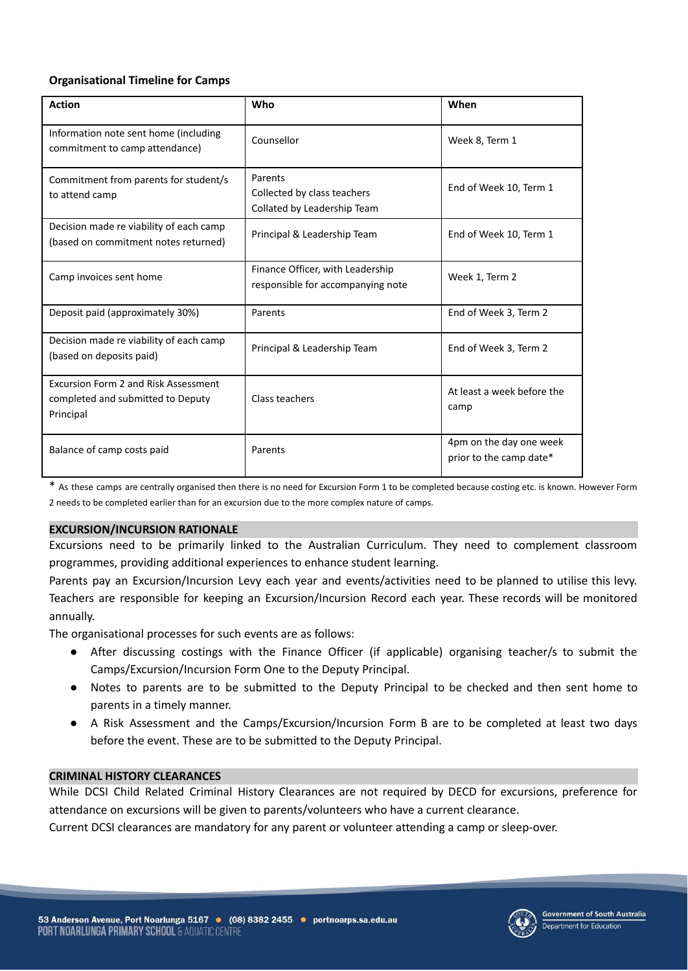# **Organisational Timeline for Camps**

| <b>Action</b>                                                                          | Who                                                                   | When                                               |
|----------------------------------------------------------------------------------------|-----------------------------------------------------------------------|----------------------------------------------------|
| Information note sent home (including<br>commitment to camp attendance)                | Counsellor                                                            | Week 8, Term 1                                     |
| Commitment from parents for student/s<br>to attend camp                                | Parents<br>Collected by class teachers<br>Collated by Leadership Team | End of Week 10, Term 1                             |
| Decision made re viability of each camp<br>(based on commitment notes returned)        | Principal & Leadership Team                                           | End of Week 10, Term 1                             |
| Camp invoices sent home                                                                | Finance Officer, with Leadership<br>responsible for accompanying note | Week 1, Term 2                                     |
| Deposit paid (approximately 30%)                                                       | Parents                                                               | End of Week 3, Term 2                              |
| Decision made re viability of each camp<br>(based on deposits paid)                    | Principal & Leadership Team                                           | End of Week 3, Term 2                              |
| Excursion Form 2 and Risk Assessment<br>completed and submitted to Deputy<br>Principal | Class teachers                                                        | At least a week before the<br>camp                 |
| Balance of camp costs paid                                                             | Parents                                                               | 4pm on the day one week<br>prior to the camp date* |

\* As these camps are centrally organised then there is no need for Excursion Form 1 to be completed because costing etc. is known. However Form 2 needs to be completed earlier than for an excursion due to the more complex nature of camps.

# **EXCURSION/INCURSION RATIONALE**

Excursions need to be primarily linked to the Australian Curriculum. They need to complement classroom programmes, providing additional experiences to enhance student learning.

Parents pay an Excursion/Incursion Levy each year and events/activities need to be planned to utilise this levy. Teachers are responsible for keeping an Excursion/Incursion Record each year. These records will be monitored annually.

The organisational processes for such events are as follows:

- After discussing costings with the Finance Officer (if applicable) organising teacher/s to submit the Camps/Excursion/Incursion Form One to the Deputy Principal.
- Notes to parents are to be submitted to the Deputy Principal to be checked and then sent home to parents in a timely manner.
- A Risk Assessment and the Camps/Excursion/Incursion Form B are to be completed at least two days before the event. These are to be submitted to the Deputy Principal.

#### **CRIMINAL HISTORY CLEARANCES**

While DCSI Child Related Criminal History Clearances are not required by DECD for excursions, preference for attendance on excursions will be given to parents/volunteers who have a current clearance.

Current DCSI clearances are mandatory for any parent or volunteer attending a camp or sleep-over.